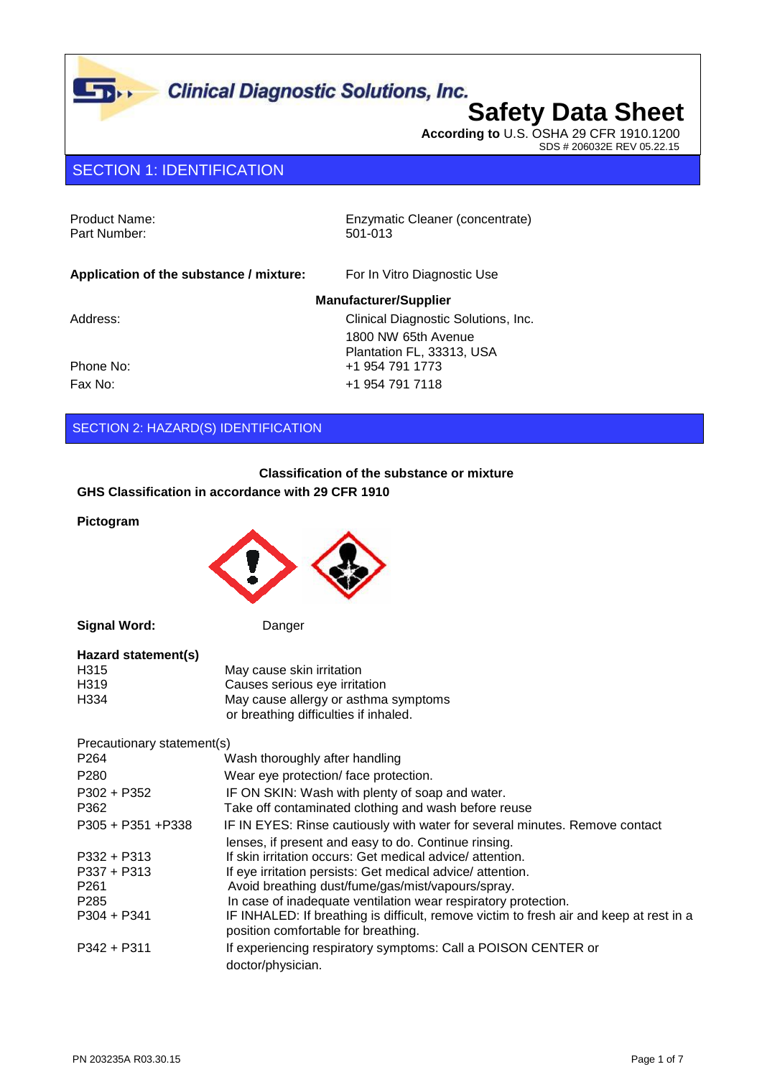# **Clinical Diagnostic Solutions, Inc.**<br>Safety Data Sheet

**According to** U.S. OSHA 29 CFR 1910.1200 SDS # 206032E REV 05.22.15

### SECTION 1: IDENTIFICATION

|  | Product Name: |
|--|---------------|
|  | Part Number:  |

 $\Gamma_{\rm D}$ 

Enzymatic Cleaner (concentrate) 501-013

| Application of the substance / mixture: | For In Vitro Diagnostic Use         |
|-----------------------------------------|-------------------------------------|
|                                         | <b>Manufacturer/Supplier</b>        |
| Address:                                | Clinical Diagnostic Solutions, Inc. |
|                                         | 1800 NW 65th Avenue                 |
|                                         | Plantation FL, 33313, USA           |
| Phone No:                               | +1 954 791 1773                     |
| Fax No:                                 | +1 954 791 7118                     |

#### SECTION 2: HAZARD(S) IDENTIFICATION

**Classification of the substance or mixture**

**GHS Classification in accordance with 29 CFR 1910**

**Pictogram**



**Signal Word:** Danger

| Hazard statement(s) |                                       |
|---------------------|---------------------------------------|
| H <sub>315</sub>    | May cause skin irritation             |
| H <sub>3</sub> 19   | Causes serious eye irritation         |
| H334                | May cause allergy or asthma symptoms  |
|                     | or breathing difficulties if inhaled. |

Precautionary statement(s)

| P <sub>264</sub>                                                                        | Wash thoroughly after handling                                                                                                                                                                                                                                                                                                                                                                                                         |
|-----------------------------------------------------------------------------------------|----------------------------------------------------------------------------------------------------------------------------------------------------------------------------------------------------------------------------------------------------------------------------------------------------------------------------------------------------------------------------------------------------------------------------------------|
| P <sub>280</sub>                                                                        | Wear eye protection/face protection.                                                                                                                                                                                                                                                                                                                                                                                                   |
| $P302 + P352$<br>P362                                                                   | IF ON SKIN: Wash with plenty of soap and water.<br>Take off contaminated clothing and wash before reuse                                                                                                                                                                                                                                                                                                                                |
| $P305 + P351 + P338$                                                                    | IF IN EYES: Rinse cautiously with water for several minutes. Remove contact                                                                                                                                                                                                                                                                                                                                                            |
| $P332 + P313$<br>$P337 + P313$<br>P <sub>261</sub><br>P <sub>285</sub><br>$P304 + P341$ | lenses, if present and easy to do. Continue rinsing.<br>If skin irritation occurs: Get medical advice/attention.<br>If eye irritation persists: Get medical advice/attention.<br>Avoid breathing dust/fume/gas/mist/vapours/spray.<br>In case of inadequate ventilation wear respiratory protection.<br>IF INHALED: If breathing is difficult, remove victim to fresh air and keep at rest in a<br>position comfortable for breathing. |
| $P342 + P311$                                                                           | If experiencing respiratory symptoms: Call a POISON CENTER or<br>doctor/physician.                                                                                                                                                                                                                                                                                                                                                     |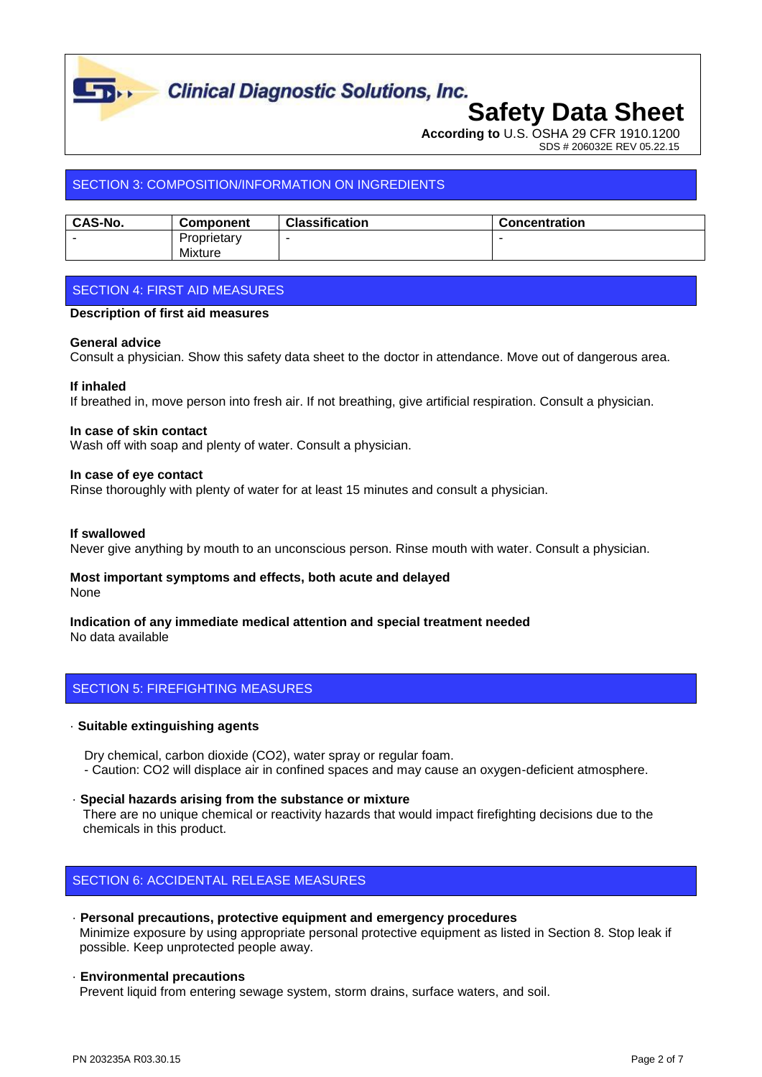

# **Clinical Diagnostic Solutions, Inc.**<br>**Safety Data Sheet**

**According to** U.S. OSHA 29 CFR 1910.1200 SDS # 206032E REV 05.22.15

### SECTION 3: COMPOSITION/INFORMATION ON INGREDIENTS

| <b>CAS-No.</b> | <b>Component</b> | <b>Classification</b> | <b>Concentration</b> |
|----------------|------------------|-----------------------|----------------------|
|                | Proprietary      |                       |                      |
|                | Mixture          |                       |                      |

### SECTION 4: FIRST AID MEASURES

#### **Description of first aid measures**

#### **General advice**

Consult a physician. Show this safety data sheet to the doctor in attendance. Move out of dangerous area.

#### **If inhaled**

If breathed in, move person into fresh air. If not breathing, give artificial respiration. Consult a physician.

#### **In case of skin contact**

Wash off with soap and plenty of water. Consult a physician.

#### **In case of eye contact**

Rinse thoroughly with plenty of water for at least 15 minutes and consult a physician.

#### **If swallowed**

Never give anything by mouth to an unconscious person. Rinse mouth with water. Consult a physician.

#### **Most important symptoms and effects, both acute and delayed** None

#### **Indication of any immediate medical attention and special treatment needed** No data available

#### SECTION 5: FIREFIGHTING MEASURES

#### · **Suitable extinguishing agents**

 Dry chemical, carbon dioxide (CO2), water spray or regular foam. - Caution: CO2 will displace air in confined spaces and may cause an oxygen-deficient atmosphere.

· **Special hazards arising from the substance or mixture**

 There are no unique chemical or reactivity hazards that would impact firefighting decisions due to the chemicals in this product.

#### SECTION 6: ACCIDENTAL RELEASE MEASURES

#### · **Personal precautions, protective equipment and emergency procedures**

 Minimize exposure by using appropriate personal protective equipment as listed in Section 8. Stop leak if possible. Keep unprotected people away.

#### · **Environmental precautions**

Prevent liquid from entering sewage system, storm drains, surface waters, and soil.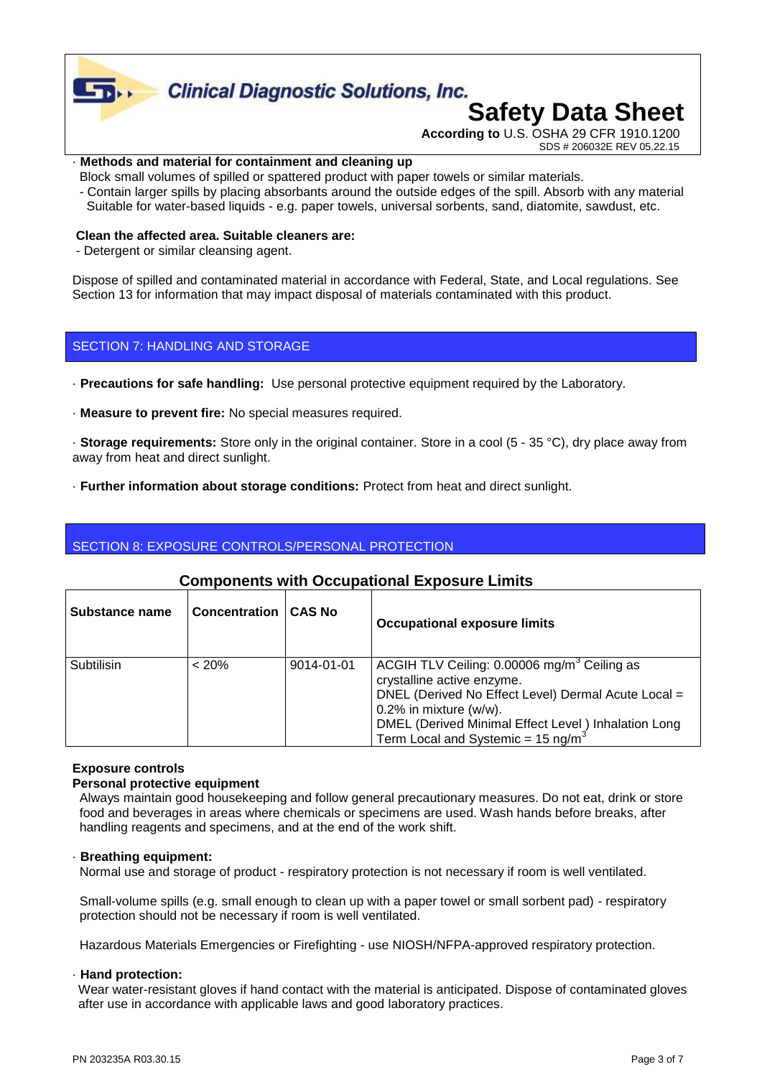

#### · **Methods and material for containment and cleaning up**

- Block small volumes of spilled or spattered product with paper towels or similar materials.
- Contain larger spills by placing absorbants around the outside edges of the spill. Absorb with any material Suitable for water-based liquids - e.g. paper towels, universal sorbents, sand, diatomite, sawdust, etc.

#### **Clean the affected area. Suitable cleaners are:**

- Detergent or similar cleansing agent.

Dispose of spilled and contaminated material in accordance with Federal, State, and Local regulations. See Section 13 for information that may impact disposal of materials contaminated with this product.

#### SECTION 7: HANDLING AND STORAGE

- · **Precautions for safe handling:** Use personal protective equipment required by the Laboratory.
- · **Measure to prevent fire:** No special measures required.

· **Storage requirements:** Store only in the original container. Store in a cool (5 - 35 °C), dry place away from away from heat and direct sunlight.

· **Further information about storage conditions:** Protect from heat and direct sunlight.

#### SECTION 8: EXPOSURE CONTROLS/PERSONAL PROTECTION

| Substance name | <b>Concentration</b> | <b>CAS No</b> | <b>Occupational exposure limits</b>                                                                                                                                                                                                                                               |
|----------------|----------------------|---------------|-----------------------------------------------------------------------------------------------------------------------------------------------------------------------------------------------------------------------------------------------------------------------------------|
| Subtilisin     | $< 20\%$             | 9014-01-01    | ACGIH TLV Ceiling: 0.00006 mg/m <sup>3</sup> Ceiling as<br>crystalline active enzyme.<br>DNEL (Derived No Effect Level) Dermal Acute Local =<br>$0.2\%$ in mixture (w/w).<br>DMEL (Derived Minimal Effect Level) Inhalation Long<br>Term Local and Systemic = $15 \text{ ng/m}^3$ |

#### **Components with Occupational Exposure Limits**

#### **Exposure controls**

#### **Personal protective equipment**

 Always maintain good housekeeping and follow general precautionary measures. Do not eat, drink or store food and beverages in areas where chemicals or specimens are used. Wash hands before breaks, after handling reagents and specimens, and at the end of the work shift.

#### · **Breathing equipment:**

Normal use and storage of product - respiratory protection is not necessary if room is well ventilated.

 Small-volume spills (e.g. small enough to clean up with a paper towel or small sorbent pad) - respiratory protection should not be necessary if room is well ventilated.

Hazardous Materials Emergencies or Firefighting - use NIOSH/NFPA-approved respiratory protection.

#### · **Hand protection:**

Wear water-resistant gloves if hand contact with the material is anticipated. Dispose of contaminated gloves after use in accordance with applicable laws and good laboratory practices.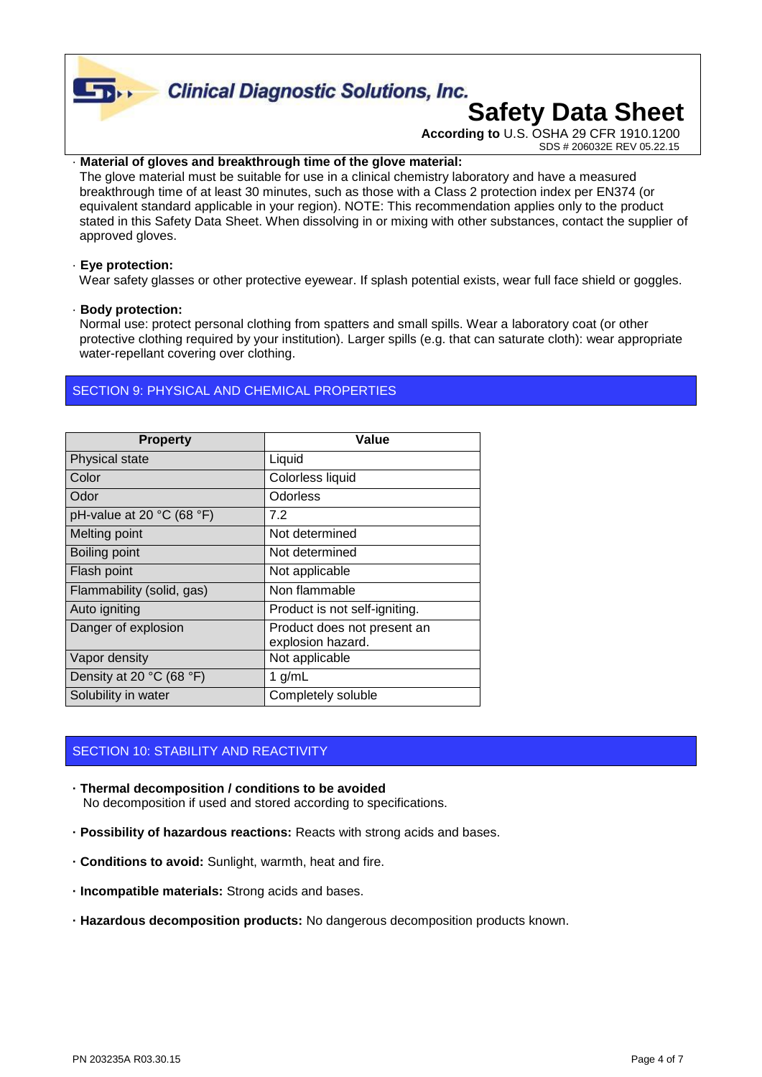**Clinical Diagnostic Solutions, Inc.** 

## **Safety Data Sheet**

**According to** U.S. OSHA 29 CFR 1910.1200 SDS # 206032E REV 05.22.15

#### Material of gloves and breakthrough time of the glove material:

 The glove material must be suitable for use in a clinical chemistry laboratory and have a measured breakthrough time of at least 30 minutes, such as those with a Class 2 protection index per EN374 (or equivalent standard applicable in your region). NOTE: This recommendation applies only to the product stated in this Safety Data Sheet. When dissolving in or mixing with other substances, contact the supplier of approved gloves.

#### · **Eye protection:**

 $\Gamma$ 

Wear safety glasses or other protective eyewear. If splash potential exists, wear full face shield or goggles.

#### · **Body protection:**

 Normal use: protect personal clothing from spatters and small spills. Wear a laboratory coat (or other protective clothing required by your institution). Larger spills (e.g. that can saturate cloth): wear appropriate water-repellant covering over clothing.

#### SECTION 9: PHYSICAL AND CHEMICAL PROPERTIES

| <b>Property</b>                               | Value                                            |
|-----------------------------------------------|--------------------------------------------------|
| Physical state                                | Liquid                                           |
| Color                                         | Colorless liquid                                 |
| Odor                                          | Odorless                                         |
| pH-value at 20 $^{\circ}$ C (68 $^{\circ}$ F) | 7.2                                              |
| Melting point                                 | Not determined                                   |
| Boiling point                                 | Not determined                                   |
| Flash point                                   | Not applicable                                   |
| Flammability (solid, gas)                     | Non flammable                                    |
| Auto igniting                                 | Product is not self-igniting.                    |
| Danger of explosion                           | Product does not present an<br>explosion hazard. |
| Vapor density                                 | Not applicable                                   |
| Density at 20 $°C$ (68 $°F$ )                 | 1 $g/mL$                                         |
| Solubility in water                           | Completely soluble                               |

#### SECTION 10: STABILITY AND REACTIVITY

- **· Thermal decomposition / conditions to be avoided** No decomposition if used and stored according to specifications.
- **· Possibility of hazardous reactions:** Reacts with strong acids and bases.
- **· Conditions to avoid:** Sunlight, warmth, heat and fire.
- **· Incompatible materials:** Strong acids and bases.
- **· Hazardous decomposition products:** No dangerous decomposition products known.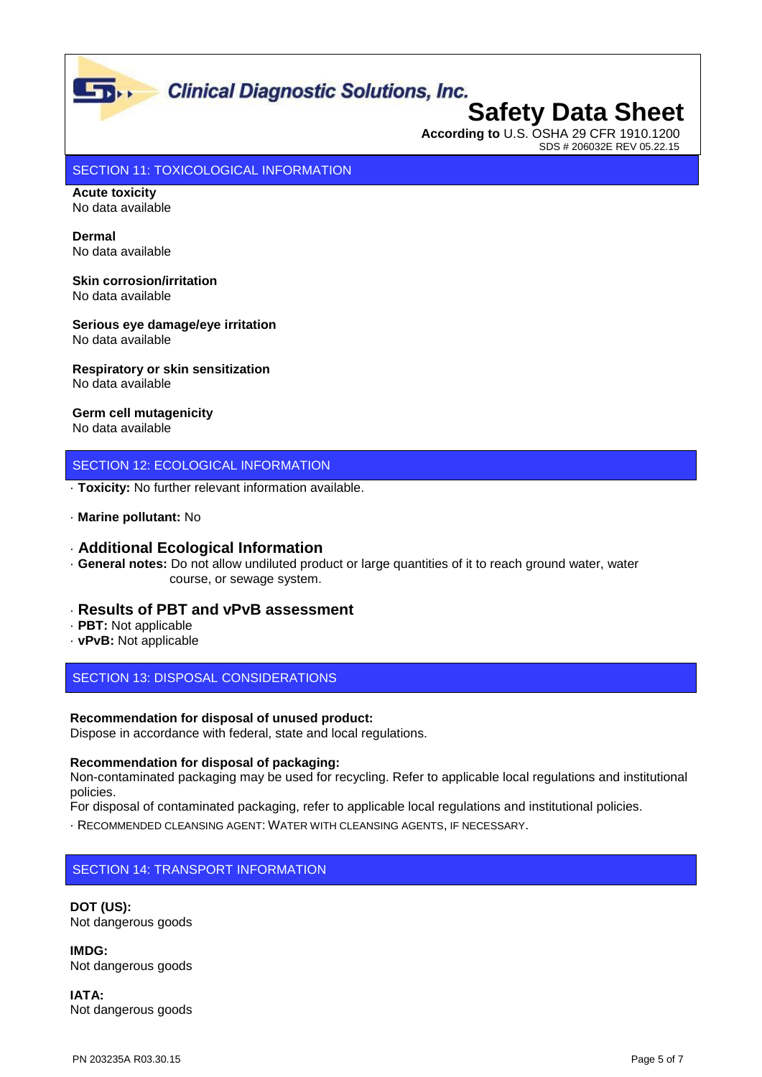### **Clinical Diagnostic Solutions, Inc.**

### **Safety Data Sheet According to** U.S. OSHA 29 CFR 1910.1200 SDS # 206032E REV 05.22.15

SECTION 11: TOXICOLOGICAL INFORMATION

**Acute toxicity** No data available

 $\mathbf{L}$ 

**Dermal** No data available

**Skin corrosion/irritation** No data available

**Serious eye damage/eye irritation** No data available

**Respiratory or skin sensitization** No data available

**Germ cell mutagenicity**

No data available

#### SECTION 12: ECOLOGICAL INFORMATION

· **Toxicity:** No further relevant information available.

#### · **Marine pollutant:** No

#### · **Additional Ecological Information**

· **General notes:** Do not allow undiluted product or large quantities of it to reach ground water, water course, or sewage system.

#### · **Results of PBT and vPvB assessment**

- · **PBT:** Not applicable
- · **vPvB:** Not applicable

SECTION 13: DISPOSAL CONSIDERATIONS

#### **Recommendation for disposal of unused product:**

Dispose in accordance with federal, state and local regulations.

#### **Recommendation for disposal of packaging:**

Non-contaminated packaging may be used for recycling. Refer to applicable local regulations and institutional policies.

For disposal of contaminated packaging, refer to applicable local regulations and institutional policies.

· RECOMMENDED CLEANSING AGENT: WATER WITH CLEANSING AGENTS, IF NECESSARY.

#### SECTION 14: TRANSPORT INFORMATION

**DOT (US):** Not dangerous goods

**IMDG:** Not dangerous goods

**IATA:** Not dangerous goods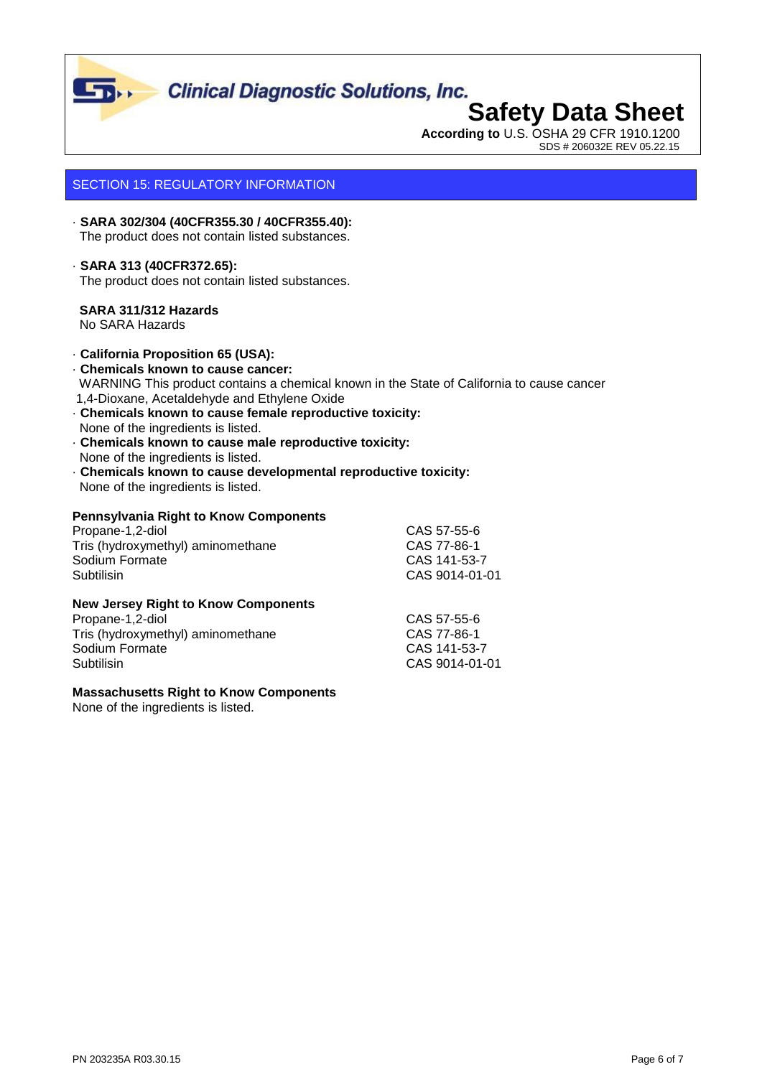

# **Clinical Diagnostic Solutions, Inc.**<br>**Safety Data Sheet**

## **According to** U.S. OSHA 29 CFR 1910.1200

SDS # 206032E REV 05.22.15

#### SECTION 15: REGULATORY INFORMATION

#### · **SARA 302/304 (40CFR355.30 / 40CFR355.40):** The product does not contain listed substances.

#### · **SARA 313 (40CFR372.65):**

The product does not contain listed substances.

#### **SARA 311/312 Hazards**

No SARA Hazards

#### · **California Proposition 65 (USA):**

- · **Chemicals known to cause cancer:** WARNING This product contains a chemical known in the State of California to cause cancer 1,4-Dioxane, Acetaldehyde and Ethylene Oxide
- · **Chemicals known to cause female reproductive toxicity:** None of the ingredients is listed.
- · **Chemicals known to cause male reproductive toxicity:** None of the ingredients is listed.
- · **Chemicals known to cause developmental reproductive toxicity:** None of the ingredients is listed.

#### **Pennsylvania Right to Know Components**

| Propane-1,2-diol                  | CAS 57-55-6    |
|-----------------------------------|----------------|
| Tris (hydroxymethyl) aminomethane | CAS 77-86-1    |
| Sodium Formate                    | CAS 141-53-7   |
| Subtilisin                        | CAS 9014-01-01 |

#### **New Jersey Right to Know Components**

| Propane-1,2-diol                  | CAS 57-55-6    |
|-----------------------------------|----------------|
| Tris (hydroxymethyl) aminomethane | CAS 77-86-1    |
| Sodium Formate                    | CAS 141-53-7   |
| Subtilisin                        | CAS 9014-01-01 |

#### **Massachusetts Right to Know Components**

None of the ingredients is listed.